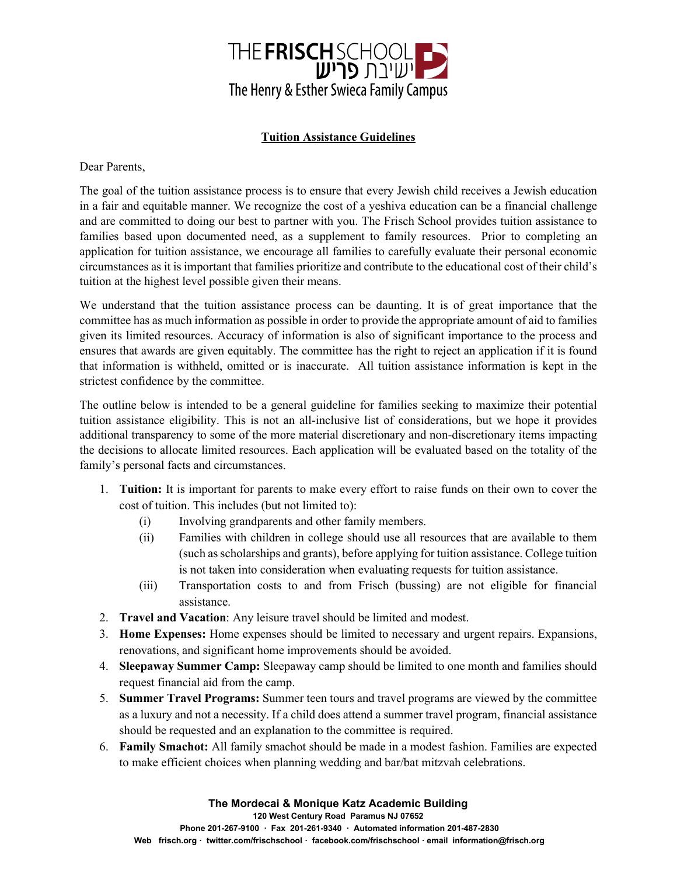

## **Tuition Assistance Guidelines**

Dear Parents,

The goal of the tuition assistance process is to ensure that every Jewish child receives a Jewish education in a fair and equitable manner. We recognize the cost of a yeshiva education can be a financial challenge and are committed to doing our best to partner with you. The Frisch School provides tuition assistance to families based upon documented need, as a supplement to family resources. Prior to completing an application for tuition assistance, we encourage all families to carefully evaluate their personal economic circumstances as it is important that families prioritize and contribute to the educational cost of their child's tuition at the highest level possible given their means.

We understand that the tuition assistance process can be daunting. It is of great importance that the committee has as much information as possible in order to provide the appropriate amount of aid to families given its limited resources. Accuracy of information is also of significant importance to the process and ensures that awards are given equitably. The committee has the right to reject an application if it is found that information is withheld, omitted or is inaccurate. All tuition assistance information is kept in the strictest confidence by the committee.

The outline below is intended to be a general guideline for families seeking to maximize their potential tuition assistance eligibility. This is not an all-inclusive list of considerations, but we hope it provides additional transparency to some of the more material discretionary and non-discretionary items impacting the decisions to allocate limited resources. Each application will be evaluated based on the totality of the family's personal facts and circumstances.

- 1. **Tuition:** It is important for parents to make every effort to raise funds on their own to cover the cost of tuition. This includes (but not limited to):
	- (i) Involving grandparents and other family members.
	- (ii) Families with children in college should use all resources that are available to them (such as scholarships and grants), before applying for tuition assistance. College tuition is not taken into consideration when evaluating requests for tuition assistance.
	- (iii) Transportation costs to and from Frisch (bussing) are not eligible for financial assistance.
- 2. **Travel and Vacation**: Any leisure travel should be limited and modest.
- 3. **Home Expenses:** Home expenses should be limited to necessary and urgent repairs. Expansions, renovations, and significant home improvements should be avoided.
- 4. **Sleepaway Summer Camp:** Sleepaway camp should be limited to one month and families should request financial aid from the camp.
- 5. **Summer Travel Programs:** Summer teen tours and travel programs are viewed by the committee as a luxury and not a necessity. If a child does attend a summer travel program, financial assistance should be requested and an explanation to the committee is required.
- 6. **Family Smachot:** All family smachot should be made in a modest fashion. Families are expected to make efficient choices when planning wedding and bar/bat mitzvah celebrations.